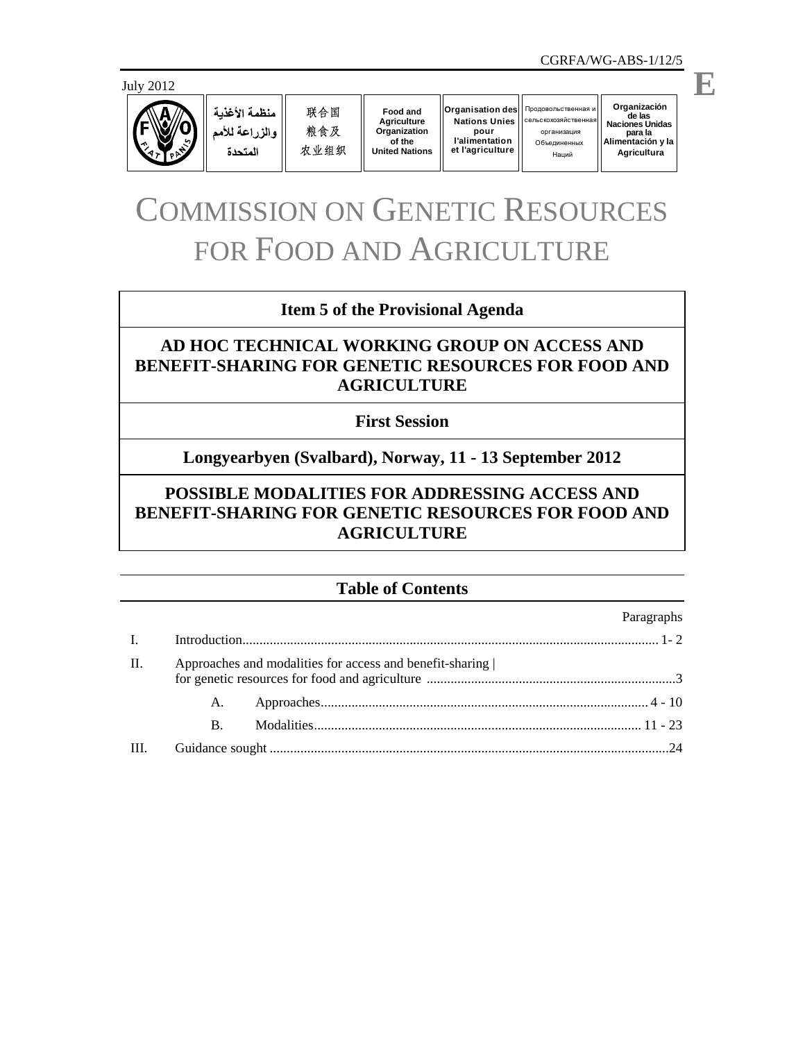

منظمة الأغذية والزراعة للأمم المتحدة

联合国 粮食及 农业组织

**Food and Agriculture Organization of the United Nations**

О бъединенных  $O$ rganisation des **Nations Unies pour l'alimentation et l'agriculture** cельскохозяйственная

**Organización** de las<br>Naciones Unidas **Naciones Unidas** организация **para la Alimentación y la** Наций  $A$ gricultura Продовольственная и

# COMMISSION ON GENETIC RESOURCES FOR FOOD AND AGRICULTURE

## **Item 5 of the Provisional Agenda**

# **AD HOC TECHNICAL WORKING GROUP ON ACCESS AND BENEFIT-SHARING FOR GENETIC RESOURCES FOR FOOD AND AGRICULTURE**

### **First Session**

# **Longyearbyen (Svalbard), Norway, 11 - 13 September 2012**

# **POSSIBLE MODALITIES FOR ADDRESSING ACCESS AND BENEFIT-SHARING FOR GENETIC RESOURCES FOR FOOD AND AGRICULTURE**

## **Table of Contents**

|                |    |                                                          | Paragraphs |  |  |  |
|----------------|----|----------------------------------------------------------|------------|--|--|--|
| $\mathbf{I}$ . |    |                                                          |            |  |  |  |
| H.             |    | Approaches and modalities for access and benefit-sharing |            |  |  |  |
|                | A. |                                                          |            |  |  |  |
|                | В. |                                                          |            |  |  |  |
| HI.            |    |                                                          |            |  |  |  |

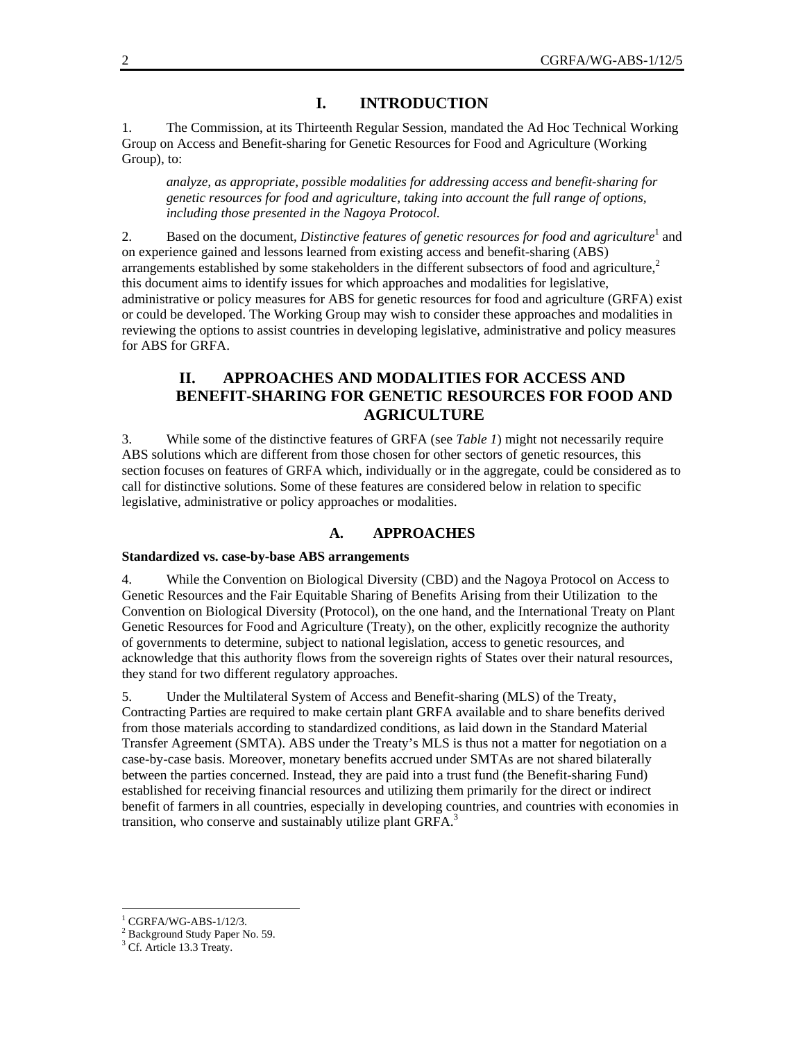#### **I. INTRODUCTION**

1. The Commission, at its Thirteenth Regular Session, mandated the Ad Hoc Technical Working Group on Access and Benefit-sharing for Genetic Resources for Food and Agriculture (Working Group), to:

*analyze, as appropriate, possible modalities for addressing access and benefit-sharing for genetic resources for food and agriculture, taking into account the full range of options, including those presented in the Nagoya Protocol.* 

2. Based on the document, *Distinctive features of genetic resources for food and agriculture*<sup>1</sup> and on experience gained and lessons learned from existing access and benefit-sharing (ABS) arrangements established by some stakeholders in the different subsectors of food and agriculture, $2\pi$ this document aims to identify issues for which approaches and modalities for legislative, administrative or policy measures for ABS for genetic resources for food and agriculture (GRFA) exist or could be developed. The Working Group may wish to consider these approaches and modalities in reviewing the options to assist countries in developing legislative, administrative and policy measures for ABS for GRFA.

## **II. APPROACHES AND MODALITIES FOR ACCESS AND BENEFIT-SHARING FOR GENETIC RESOURCES FOR FOOD AND AGRICULTURE**

3. While some of the distinctive features of GRFA (see *Table 1*) might not necessarily require ABS solutions which are different from those chosen for other sectors of genetic resources, this section focuses on features of GRFA which, individually or in the aggregate, could be considered as to call for distinctive solutions. Some of these features are considered below in relation to specific legislative, administrative or policy approaches or modalities.

#### **A. APPROACHES**

#### **Standardized vs. case-by-base ABS arrangements**

4. While the Convention on Biological Diversity (CBD) and the Nagoya Protocol on Access to Genetic Resources and the Fair Equitable Sharing of Benefits Arising from their Utilization to the Convention on Biological Diversity (Protocol), on the one hand, and the International Treaty on Plant Genetic Resources for Food and Agriculture (Treaty), on the other, explicitly recognize the authority of governments to determine, subject to national legislation, access to genetic resources, and acknowledge that this authority flows from the sovereign rights of States over their natural resources, they stand for two different regulatory approaches.

5. Under the Multilateral System of Access and Benefit-sharing (MLS) of the Treaty, Contracting Parties are required to make certain plant GRFA available and to share benefits derived from those materials according to standardized conditions, as laid down in the Standard Material Transfer Agreement (SMTA). ABS under the Treaty's MLS is thus not a matter for negotiation on a case-by-case basis. Moreover, monetary benefits accrued under SMTAs are not shared bilaterally between the parties concerned. Instead, they are paid into a trust fund (the Benefit-sharing Fund) established for receiving financial resources and utilizing them primarily for the direct or indirect benefit of farmers in all countries, especially in developing countries, and countries with economies in transition, who conserve and sustainably utilize plant GRFA.<sup>3</sup>

<sup>1</sup> CGRFA/WG-ABS-1/12/3.

<sup>&</sup>lt;sup>2</sup> Background Study Paper No. 59.

<sup>&</sup>lt;sup>3</sup> Cf. Article 13.3 Treaty.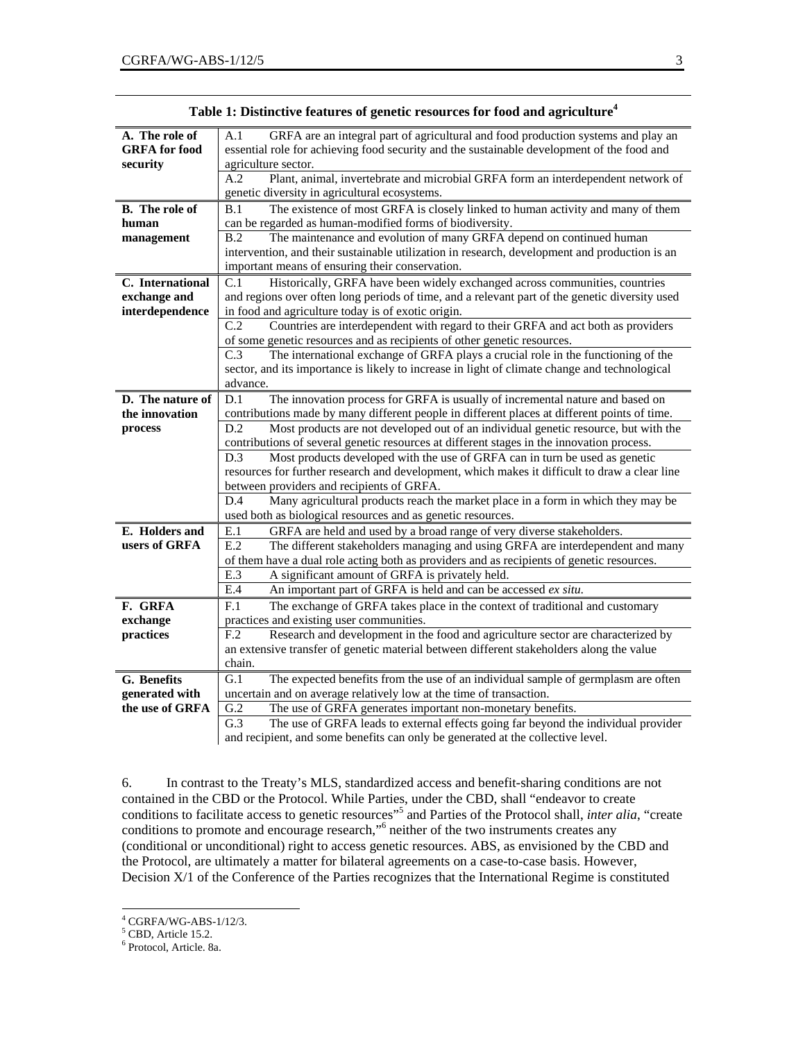| A. The role of        | GRFA are an integral part of agricultural and food production systems and play an<br>A.1            |  |  |  |  |  |
|-----------------------|-----------------------------------------------------------------------------------------------------|--|--|--|--|--|
| <b>GRFA</b> for food  | essential role for achieving food security and the sustainable development of the food and          |  |  |  |  |  |
| security              | agriculture sector.                                                                                 |  |  |  |  |  |
|                       | Plant, animal, invertebrate and microbial GRFA form an interdependent network of<br>A.2             |  |  |  |  |  |
|                       | genetic diversity in agricultural ecosystems.                                                       |  |  |  |  |  |
| <b>B.</b> The role of | The existence of most GRFA is closely linked to human activity and many of them<br>B.1              |  |  |  |  |  |
| human                 | can be regarded as human-modified forms of biodiversity.                                            |  |  |  |  |  |
| management            | The maintenance and evolution of many GRFA depend on continued human<br>B.2                         |  |  |  |  |  |
|                       | intervention, and their sustainable utilization in research, development and production is an       |  |  |  |  |  |
|                       | important means of ensuring their conservation.                                                     |  |  |  |  |  |
| C. International      | Historically, GRFA have been widely exchanged across communities, countries<br>C.1                  |  |  |  |  |  |
| exchange and          | and regions over often long periods of time, and a relevant part of the genetic diversity used      |  |  |  |  |  |
| interdependence       | in food and agriculture today is of exotic origin.                                                  |  |  |  |  |  |
|                       | Countries are interdependent with regard to their GRFA and act both as providers<br>C.2             |  |  |  |  |  |
|                       | of some genetic resources and as recipients of other genetic resources.                             |  |  |  |  |  |
|                       | C.3<br>The international exchange of GRFA plays a crucial role in the functioning of the            |  |  |  |  |  |
|                       | sector, and its importance is likely to increase in light of climate change and technological       |  |  |  |  |  |
|                       | advance.                                                                                            |  |  |  |  |  |
| D. The nature of      | The innovation process for GRFA is usually of incremental nature and based on<br>D.1                |  |  |  |  |  |
| the innovation        | contributions made by many different people in different places at different points of time.        |  |  |  |  |  |
| process               | Most products are not developed out of an individual genetic resource, but with the<br>D.2          |  |  |  |  |  |
|                       | contributions of several genetic resources at different stages in the innovation process.           |  |  |  |  |  |
|                       | Most products developed with the use of GRFA can in turn be used as genetic<br>D.3                  |  |  |  |  |  |
|                       | resources for further research and development, which makes it difficult to draw a clear line       |  |  |  |  |  |
|                       | between providers and recipients of GRFA.                                                           |  |  |  |  |  |
|                       | Many agricultural products reach the market place in a form in which they may be<br>D.4             |  |  |  |  |  |
|                       | used both as biological resources and as genetic resources.                                         |  |  |  |  |  |
| E. Holders and        | GRFA are held and used by a broad range of very diverse stakeholders.<br>E.1                        |  |  |  |  |  |
| users of GRFA         | E.2<br>The different stakeholders managing and using GRFA are interdependent and many               |  |  |  |  |  |
|                       | of them have a dual role acting both as providers and as recipients of genetic resources.           |  |  |  |  |  |
|                       | E.3<br>A significant amount of GRFA is privately held.                                              |  |  |  |  |  |
|                       | E.4<br>An important part of GRFA is held and can be accessed ex situ.                               |  |  |  |  |  |
| F. GRFA               | The exchange of GRFA takes place in the context of traditional and customary<br>F.1                 |  |  |  |  |  |
| exchange              | practices and existing user communities.                                                            |  |  |  |  |  |
| practices             | Research and development in the food and agriculture sector are characterized by<br>F <sub>.2</sub> |  |  |  |  |  |
|                       | an extensive transfer of genetic material between different stakeholders along the value            |  |  |  |  |  |
|                       | chain.                                                                                              |  |  |  |  |  |
| G. Benefits           | G.1<br>The expected benefits from the use of an individual sample of germplasm are often            |  |  |  |  |  |
| generated with        | uncertain and on average relatively low at the time of transaction.                                 |  |  |  |  |  |
| the use of GRFA       | G.2<br>The use of GRFA generates important non-monetary benefits.                                   |  |  |  |  |  |
|                       | G.3<br>The use of GRFA leads to external effects going far beyond the individual provider           |  |  |  |  |  |
|                       | and recipient, and some benefits can only be generated at the collective level.                     |  |  |  |  |  |

| Table 1: Distinctive features of genetic resources for food and agriculture <sup>4</sup> |  |  |
|------------------------------------------------------------------------------------------|--|--|
|                                                                                          |  |  |

6. In contrast to the Treaty's MLS, standardized access and benefit-sharing conditions are not contained in the CBD or the Protocol. While Parties, under the CBD, shall "endeavor to create conditions to facilitate access to genetic resources<sup>55</sup> and Parties of the Protocol shall, *inter alia*, "create conditions to promote and encourage research,"<sup>6</sup> neither of the two instruments creates any (conditional or unconditional) right to access genetic resources. ABS, as envisioned by the CBD and the Protocol, are ultimately a matter for bilateral agreements on a case-to-case basis. However, Decision X/1 of the Conference of the Parties recognizes that the International Regime is constituted

 4 CGRFA/WG-ABS-1/12/3.

<sup>&</sup>lt;sup>5</sup> CBD, Article 15.2.

<sup>6</sup> Protocol, Article. 8a.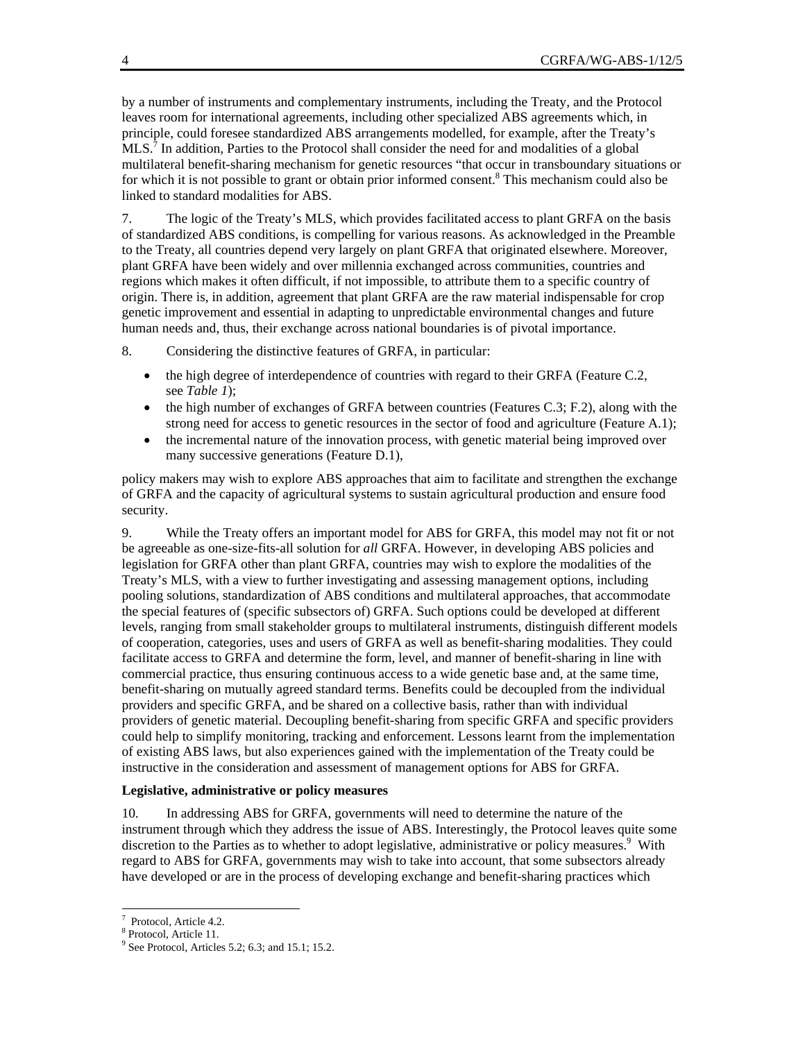by a number of instruments and complementary instruments, including the Treaty, and the Protocol leaves room for international agreements, including other specialized ABS agreements which, in principle, could foresee standardized ABS arrangements modelled, for example, after the Treaty's  $MLS$ <sup>7</sup>. In addition, Parties to the Protocol shall consider the need for and modalities of a global multilateral benefit-sharing mechanism for genetic resources "that occur in transboundary situations or for which it is not possible to grant or obtain prior informed consent.<sup>8</sup> This mechanism could also be linked to standard modalities for ABS.

7. The logic of the Treaty's MLS, which provides facilitated access to plant GRFA on the basis of standardized ABS conditions, is compelling for various reasons. As acknowledged in the Preamble to the Treaty, all countries depend very largely on plant GRFA that originated elsewhere. Moreover, plant GRFA have been widely and over millennia exchanged across communities, countries and regions which makes it often difficult, if not impossible, to attribute them to a specific country of origin. There is, in addition, agreement that plant GRFA are the raw material indispensable for crop genetic improvement and essential in adapting to unpredictable environmental changes and future human needs and, thus, their exchange across national boundaries is of pivotal importance.

8. Considering the distinctive features of GRFA, in particular:

- the high degree of interdependence of countries with regard to their GRFA (Feature C.2, see *Table 1*);
- $\bullet$  the high number of exchanges of GRFA between countries (Features C.3; F.2), along with the strong need for access to genetic resources in the sector of food and agriculture (Feature A.1);
- the incremental nature of the innovation process, with genetic material being improved over many successive generations (Feature D.1),

policy makers may wish to explore ABS approaches that aim to facilitate and strengthen the exchange of GRFA and the capacity of agricultural systems to sustain agricultural production and ensure food security.

9. While the Treaty offers an important model for ABS for GRFA, this model may not fit or not be agreeable as one-size-fits-all solution for *all* GRFA. However, in developing ABS policies and legislation for GRFA other than plant GRFA, countries may wish to explore the modalities of the Treaty's MLS, with a view to further investigating and assessing management options, including pooling solutions, standardization of ABS conditions and multilateral approaches, that accommodate the special features of (specific subsectors of) GRFA. Such options could be developed at different levels, ranging from small stakeholder groups to multilateral instruments, distinguish different models of cooperation, categories, uses and users of GRFA as well as benefit-sharing modalities. They could facilitate access to GRFA and determine the form, level, and manner of benefit-sharing in line with commercial practice, thus ensuring continuous access to a wide genetic base and, at the same time, benefit-sharing on mutually agreed standard terms. Benefits could be decoupled from the individual providers and specific GRFA, and be shared on a collective basis, rather than with individual providers of genetic material. Decoupling benefit-sharing from specific GRFA and specific providers could help to simplify monitoring, tracking and enforcement. Lessons learnt from the implementation of existing ABS laws, but also experiences gained with the implementation of the Treaty could be instructive in the consideration and assessment of management options for ABS for GRFA.

#### **Legislative, administrative or policy measures**

10. In addressing ABS for GRFA, governments will need to determine the nature of the instrument through which they address the issue of ABS. Interestingly, the Protocol leaves quite some discretion to the Parties as to whether to adopt legislative, administrative or policy measures.<sup>9</sup> With regard to ABS for GRFA, governments may wish to take into account, that some subsectors already have developed or are in the process of developing exchange and benefit-sharing practices which

 7 Protocol, Article 4.2.

<sup>8</sup> Protocol, Article 11.

 $9^9$  See Protocol, Articles 5.2; 6.3; and 15.1; 15.2.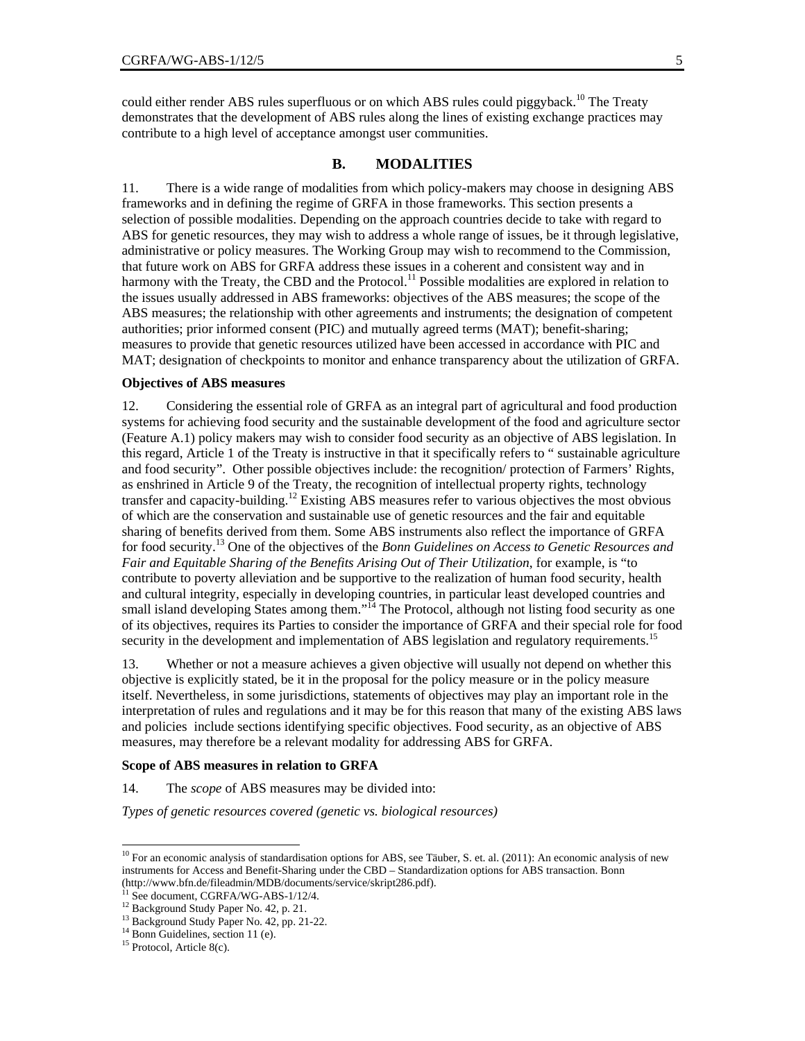could either render ABS rules superfluous or on which ABS rules could piggyback.<sup>10</sup> The Treaty demonstrates that the development of ABS rules along the lines of existing exchange practices may contribute to a high level of acceptance amongst user communities.

#### **B. MODALITIES**

11. There is a wide range of modalities from which policy-makers may choose in designing ABS frameworks and in defining the regime of GRFA in those frameworks. This section presents a selection of possible modalities. Depending on the approach countries decide to take with regard to ABS for genetic resources, they may wish to address a whole range of issues, be it through legislative, administrative or policy measures. The Working Group may wish to recommend to the Commission, that future work on ABS for GRFA address these issues in a coherent and consistent way and in harmony with the Treaty, the CBD and the Protocol.<sup>11</sup> Possible modalities are explored in relation to the issues usually addressed in ABS frameworks: objectives of the ABS measures; the scope of the ABS measures; the relationship with other agreements and instruments; the designation of competent authorities; prior informed consent (PIC) and mutually agreed terms (MAT); benefit-sharing; measures to provide that genetic resources utilized have been accessed in accordance with PIC and MAT; designation of checkpoints to monitor and enhance transparency about the utilization of GRFA.

#### **Objectives of ABS measures**

12. Considering the essential role of GRFA as an integral part of agricultural and food production systems for achieving food security and the sustainable development of the food and agriculture sector (Feature A.1) policy makers may wish to consider food security as an objective of ABS legislation. In this regard, Article 1 of the Treaty is instructive in that it specifically refers to " sustainable agriculture and food security". Other possible objectives include: the recognition/ protection of Farmers' Rights, as enshrined in Article 9 of the Treaty, the recognition of intellectual property rights, technology transfer and capacity-building.12 Existing ABS measures refer to various objectives the most obvious of which are the conservation and sustainable use of genetic resources and the fair and equitable sharing of benefits derived from them. Some ABS instruments also reflect the importance of GRFA for food security.13 One of the objectives of the *Bonn Guidelines on Access to Genetic Resources and Fair and Equitable Sharing of the Benefits Arising Out of Their Utilization*, for example, is "to contribute to poverty alleviation and be supportive to the realization of human food security, health and cultural integrity, especially in developing countries, in particular least developed countries and small island developing States among them."<sup>14</sup> The Protocol, although not listing food security as one of its objectives, requires its Parties to consider the importance of GRFA and their special role for food security in the development and implementation of ABS legislation and regulatory requirements.<sup>15</sup>

13. Whether or not a measure achieves a given objective will usually not depend on whether this objective is explicitly stated, be it in the proposal for the policy measure or in the policy measure itself. Nevertheless, in some jurisdictions, statements of objectives may play an important role in the interpretation of rules and regulations and it may be for this reason that many of the existing ABS laws and policies include sections identifying specific objectives. Food security, as an objective of ABS measures, may therefore be a relevant modality for addressing ABS for GRFA.

#### **Scope of ABS measures in relation to GRFA**

14. The *scope* of ABS measures may be divided into:

*Types of genetic resources covered (genetic vs. biological resources)* 

 $\overline{a}$ 

 $10$  For an economic analysis of standardisation options for ABS, see Täuber, S. et. al. (2011): An economic analysis of new instruments for Access and Benefit-Sharing under the CBD – Standardization options for ABS transaction. Bonn (http://www.bfn.de/fileadmin/MDB/documents/service/skript286.pdf). 11 See document, CGRFA/WG-ABS-1/12/4.

<sup>12</sup> Background Study Paper No. 42, p. 21.

<sup>&</sup>lt;sup>13</sup> Background Study Paper No. 42, pp. 21-22.

 $14$  Bonn Guidelines, section 11 (e).

<sup>&</sup>lt;sup>15</sup> Protocol, Article 8(c).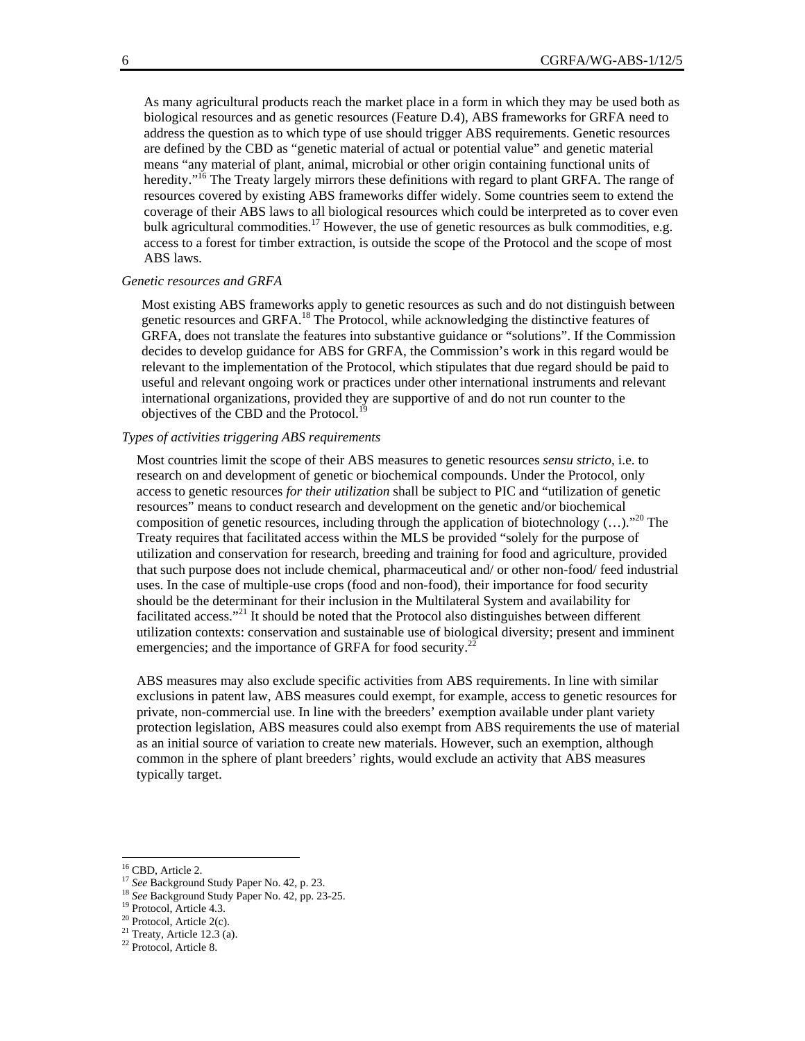As many agricultural products reach the market place in a form in which they may be used both as biological resources and as genetic resources (Feature D.4), ABS frameworks for GRFA need to address the question as to which type of use should trigger ABS requirements. Genetic resources are defined by the CBD as "genetic material of actual or potential value" and genetic material means "any material of plant, animal, microbial or other origin containing functional units of heredity."<sup>16</sup> The Treaty largely mirrors these definitions with regard to plant GRFA. The range of resources covered by existing ABS frameworks differ widely. Some countries seem to extend the coverage of their ABS laws to all biological resources which could be interpreted as to cover even bulk agricultural commodities.<sup>17</sup> However, the use of genetic resources as bulk commodities, e.g. access to a forest for timber extraction, is outside the scope of the Protocol and the scope of most ABS laws.

#### *Genetic resources and GRFA*

Most existing ABS frameworks apply to genetic resources as such and do not distinguish between genetic resources and GRFA.<sup>18</sup> The Protocol, while acknowledging the distinctive features of GRFA, does not translate the features into substantive guidance or "solutions". If the Commission decides to develop guidance for ABS for GRFA, the Commission's work in this regard would be relevant to the implementation of the Protocol, which stipulates that due regard should be paid to useful and relevant ongoing work or practices under other international instruments and relevant international organizations, provided they are supportive of and do not run counter to the objectives of the CBD and the Protocol.<sup>1</sup>

#### *Types of activities triggering ABS requirements*

Most countries limit the scope of their ABS measures to genetic resources *sensu stricto*, i.e. to research on and development of genetic or biochemical compounds. Under the Protocol, only access to genetic resources *for their utilization* shall be subject to PIC and "utilization of genetic resources" means to conduct research and development on the genetic and/or biochemical composition of genetic resources, including through the application of biotechnology (...)."<sup>20</sup> The Treaty requires that facilitated access within the MLS be provided "solely for the purpose of utilization and conservation for research, breeding and training for food and agriculture, provided that such purpose does not include chemical, pharmaceutical and/ or other non-food/ feed industrial uses. In the case of multiple-use crops (food and non-food), their importance for food security should be the determinant for their inclusion in the Multilateral System and availability for facilitated access."21 It should be noted that the Protocol also distinguishes between different utilization contexts: conservation and sustainable use of biological diversity; present and imminent emergencies; and the importance of GRFA for food security.<sup>2</sup>

ABS measures may also exclude specific activities from ABS requirements. In line with similar exclusions in patent law, ABS measures could exempt, for example, access to genetic resources for private, non-commercial use. In line with the breeders' exemption available under plant variety protection legislation, ABS measures could also exempt from ABS requirements the use of material as an initial source of variation to create new materials. However, such an exemption, although common in the sphere of plant breeders' rights, would exclude an activity that ABS measures typically target.

 $\overline{a}$ 

<sup>&</sup>lt;sup>16</sup> CBD, Article 2.

<sup>17</sup> *See* Background Study Paper No. 42, p. 23. 18 *See* Background Study Paper No. 42, pp. 23-25. 19 Protocol, Article 4.3.

<sup>&</sup>lt;sup>20</sup> Protocol, Article 2(c).

 $21$  Treaty, Article 12.3 (a).

<sup>22</sup> Protocol, Article 8.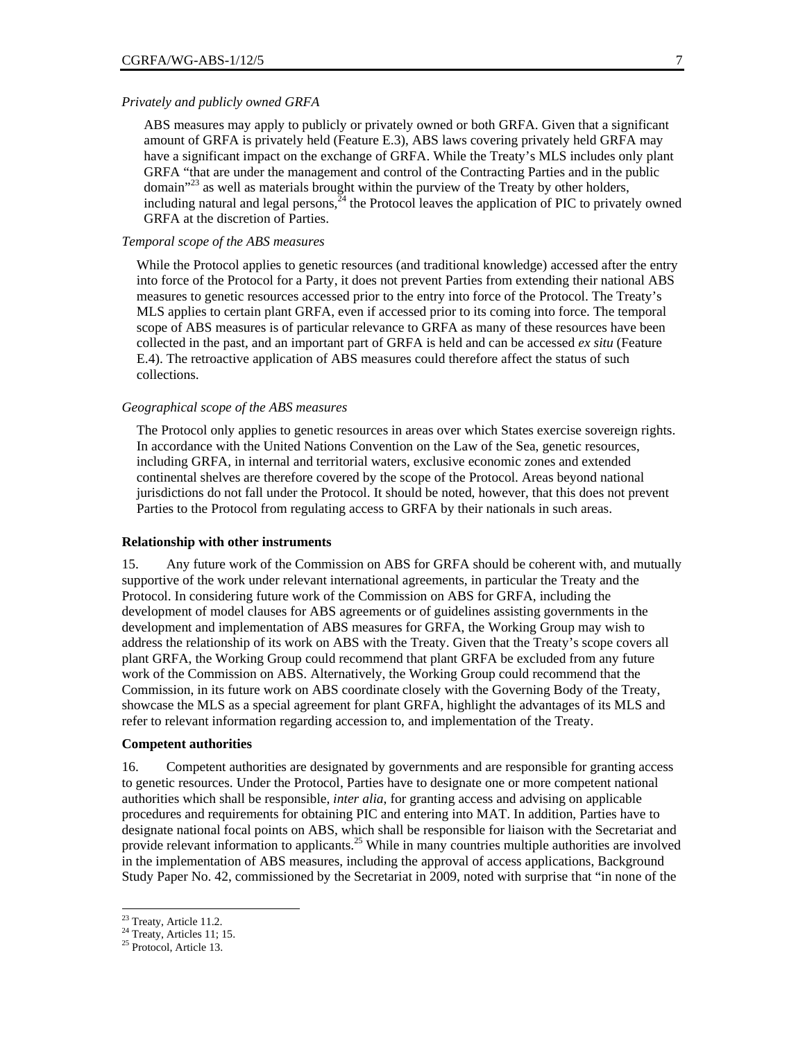#### *Privately and publicly owned GRFA*

ABS measures may apply to publicly or privately owned or both GRFA. Given that a significant amount of GRFA is privately held (Feature E.3), ABS laws covering privately held GRFA may have a significant impact on the exchange of GRFA. While the Treaty's MLS includes only plant GRFA "that are under the management and control of the Contracting Parties and in the public domain"<sup>23</sup> as well as materials brought within the purview of the Treaty by other holders, including natural and legal persons, $24$  the Protocol leaves the application of PIC to privately owned GRFA at the discretion of Parties.

#### *Temporal scope of the ABS measures*

While the Protocol applies to genetic resources (and traditional knowledge) accessed after the entry into force of the Protocol for a Party, it does not prevent Parties from extending their national ABS measures to genetic resources accessed prior to the entry into force of the Protocol. The Treaty's MLS applies to certain plant GRFA, even if accessed prior to its coming into force. The temporal scope of ABS measures is of particular relevance to GRFA as many of these resources have been collected in the past, and an important part of GRFA is held and can be accessed *ex situ* (Feature E.4). The retroactive application of ABS measures could therefore affect the status of such collections.

#### *Geographical scope of the ABS measures*

The Protocol only applies to genetic resources in areas over which States exercise sovereign rights. In accordance with the United Nations Convention on the Law of the Sea, genetic resources, including GRFA, in internal and territorial waters, exclusive economic zones and extended continental shelves are therefore covered by the scope of the Protocol. Areas beyond national jurisdictions do not fall under the Protocol. It should be noted, however, that this does not prevent Parties to the Protocol from regulating access to GRFA by their nationals in such areas.

#### **Relationship with other instruments**

15. Any future work of the Commission on ABS for GRFA should be coherent with, and mutually supportive of the work under relevant international agreements, in particular the Treaty and the Protocol. In considering future work of the Commission on ABS for GRFA, including the development of model clauses for ABS agreements or of guidelines assisting governments in the development and implementation of ABS measures for GRFA, the Working Group may wish to address the relationship of its work on ABS with the Treaty. Given that the Treaty's scope covers all plant GRFA, the Working Group could recommend that plant GRFA be excluded from any future work of the Commission on ABS. Alternatively, the Working Group could recommend that the Commission, in its future work on ABS coordinate closely with the Governing Body of the Treaty, showcase the MLS as a special agreement for plant GRFA, highlight the advantages of its MLS and refer to relevant information regarding accession to, and implementation of the Treaty.

#### **Competent authorities**

16. Competent authorities are designated by governments and are responsible for granting access to genetic resources. Under the Protocol, Parties have to designate one or more competent national authorities which shall be responsible, *inter alia*, for granting access and advising on applicable procedures and requirements for obtaining PIC and entering into MAT. In addition, Parties have to designate national focal points on ABS, which shall be responsible for liaison with the Secretariat and provide relevant information to applicants.<sup>25</sup> While in many countries multiple authorities are involved in the implementation of ABS measures, including the approval of access applications, Background Study Paper No. 42, commissioned by the Secretariat in 2009, noted with surprise that "in none of the

<sup>&</sup>lt;sup>23</sup> Treaty, Article 11.2.

<sup>&</sup>lt;sup>24</sup> Treaty, Articles 11; 15.

<sup>&</sup>lt;sup>25</sup> Protocol, Article 13.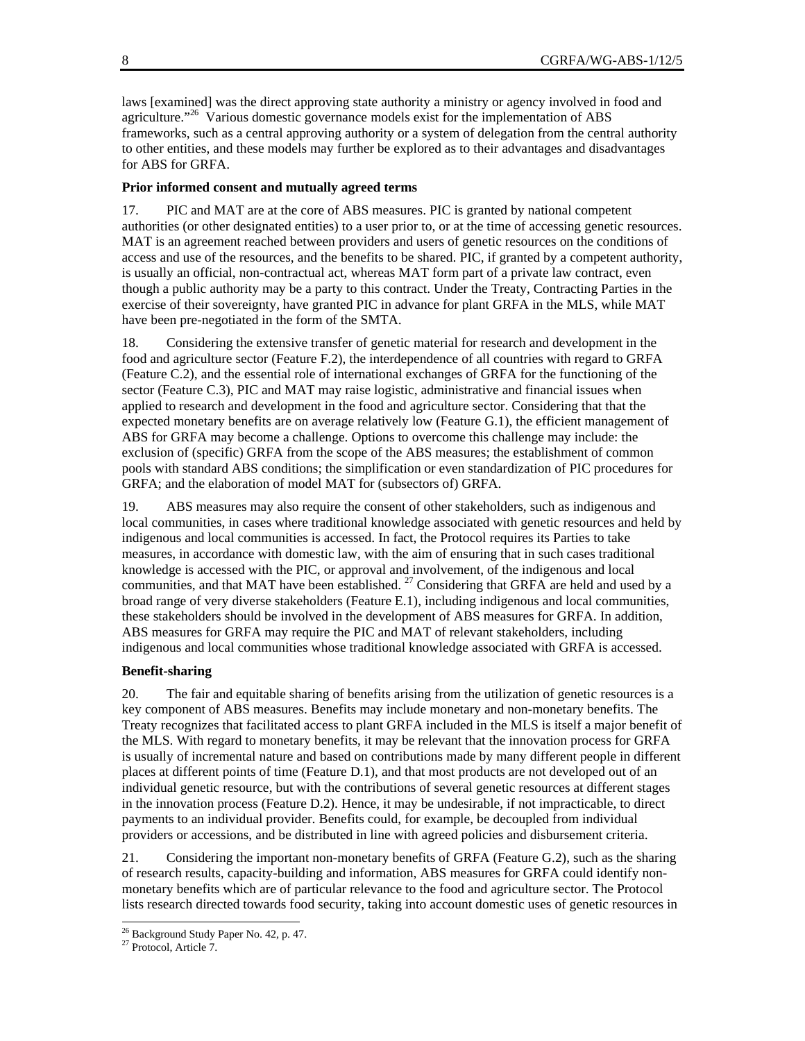laws [examined] was the direct approving state authority a ministry or agency involved in food and agriculture."<sup>26</sup> Various domestic governance models exist for the implementation of ABS frameworks, such as a central approving authority or a system of delegation from the central authority to other entities, and these models may further be explored as to their advantages and disadvantages for ABS for GRFA.

#### **Prior informed consent and mutually agreed terms**

17. PIC and MAT are at the core of ABS measures. PIC is granted by national competent authorities (or other designated entities) to a user prior to, or at the time of accessing genetic resources. MAT is an agreement reached between providers and users of genetic resources on the conditions of access and use of the resources, and the benefits to be shared. PIC, if granted by a competent authority, is usually an official, non-contractual act, whereas MAT form part of a private law contract, even though a public authority may be a party to this contract. Under the Treaty, Contracting Parties in the exercise of their sovereignty, have granted PIC in advance for plant GRFA in the MLS, while MAT have been pre-negotiated in the form of the SMTA.

18. Considering the extensive transfer of genetic material for research and development in the food and agriculture sector (Feature F.2), the interdependence of all countries with regard to GRFA (Feature C.2), and the essential role of international exchanges of GRFA for the functioning of the sector (Feature C.3), PIC and MAT may raise logistic, administrative and financial issues when applied to research and development in the food and agriculture sector. Considering that that the expected monetary benefits are on average relatively low (Feature G.1), the efficient management of ABS for GRFA may become a challenge. Options to overcome this challenge may include: the exclusion of (specific) GRFA from the scope of the ABS measures; the establishment of common pools with standard ABS conditions; the simplification or even standardization of PIC procedures for GRFA; and the elaboration of model MAT for (subsectors of) GRFA.

19. ABS measures may also require the consent of other stakeholders, such as indigenous and local communities, in cases where traditional knowledge associated with genetic resources and held by indigenous and local communities is accessed. In fact, the Protocol requires its Parties to take measures, in accordance with domestic law, with the aim of ensuring that in such cases traditional knowledge is accessed with the PIC, or approval and involvement, of the indigenous and local communities, and that MAT have been established.  $27$  Considering that GRFA are held and used by a broad range of very diverse stakeholders (Feature E.1), including indigenous and local communities, these stakeholders should be involved in the development of ABS measures for GRFA. In addition, ABS measures for GRFA may require the PIC and MAT of relevant stakeholders, including indigenous and local communities whose traditional knowledge associated with GRFA is accessed.

#### **Benefit-sharing**

20. The fair and equitable sharing of benefits arising from the utilization of genetic resources is a key component of ABS measures. Benefits may include monetary and non-monetary benefits. The Treaty recognizes that facilitated access to plant GRFA included in the MLS is itself a major benefit of the MLS. With regard to monetary benefits, it may be relevant that the innovation process for GRFA is usually of incremental nature and based on contributions made by many different people in different places at different points of time (Feature D.1), and that most products are not developed out of an individual genetic resource, but with the contributions of several genetic resources at different stages in the innovation process (Feature D.2). Hence, it may be undesirable, if not impracticable, to direct payments to an individual provider. Benefits could, for example, be decoupled from individual providers or accessions, and be distributed in line with agreed policies and disbursement criteria.

21. Considering the important non-monetary benefits of GRFA (Feature G.2), such as the sharing of research results, capacity-building and information, ABS measures for GRFA could identify nonmonetary benefits which are of particular relevance to the food and agriculture sector. The Protocol lists research directed towards food security, taking into account domestic uses of genetic resources in

<sup>&</sup>lt;sup>26</sup> Background Study Paper No. 42, p. 47.

<sup>&</sup>lt;sup>27</sup> Protocol, Article 7.